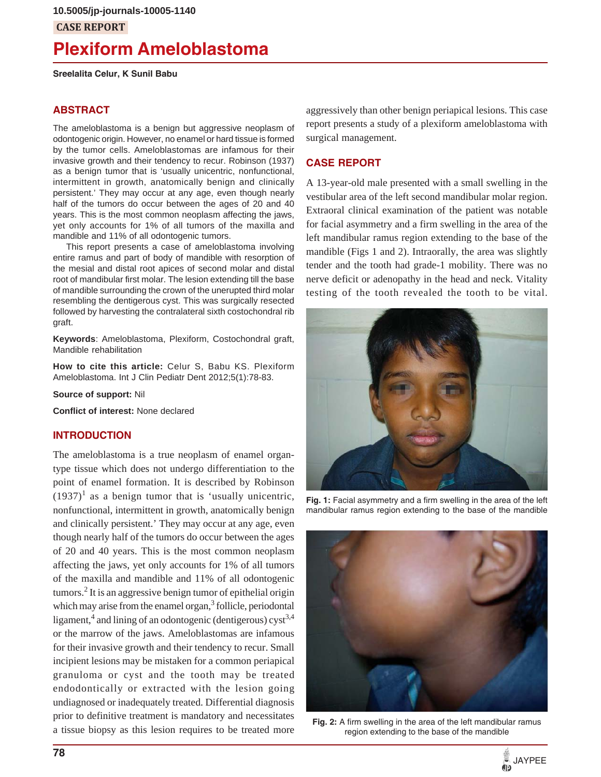## **CASE REPORT**

# **Plexiform Ameloblastoma**

**Sreelalita Celur, K Sunil Babu**

## **ABSTRACT**

The ameloblastoma is a benign but aggressive neoplasm of odontogenic origin. However, no enamel or hard tissue is formed by the tumor cells. Ameloblastomas are infamous for their invasive growth and their tendency to recur. Robinson (1937) as a benign tumor that is 'usually unicentric, nonfunctional, intermittent in growth, anatomically benign and clinically persistent.' They may occur at any age, even though nearly half of the tumors do occur between the ages of 20 and 40 years. This is the most common neoplasm affecting the jaws, yet only accounts for 1% of all tumors of the maxilla and mandible and 11% of all odontogenic tumors.

This report presents a case of ameloblastoma involving entire ramus and part of body of mandible with resorption of the mesial and distal root apices of second molar and distal root of mandibular first molar. The lesion extending till the base of mandible surrounding the crown of the unerupted third molar resembling the dentigerous cyst. This was surgically resected followed by harvesting the contralateral sixth costochondral rib graft.

**Keywords**: Ameloblastoma, Plexiform, Costochondral graft, Mandible rehabilitation

**How to cite this article:** Celur S, Babu KS. Plexiform Ameloblastoma. Int J Clin Pediatr Dent 2012;5(1):78-83.

**Source of support:** Nil

**Conflict of interest:** None declared

#### **INTRODUCTION**

The ameloblastoma is a true neoplasm of enamel organtype tissue which does not undergo differentiation to the point of enamel formation. It is described by Robinson  $(1937)^1$  as a benign tumor that is 'usually unicentric, nonfunctional, intermittent in growth, anatomically benign and clinically persistent.' They may occur at any age, even though nearly half of the tumors do occur between the ages of 20 and 40 years. This is the most common neoplasm affecting the jaws, yet only accounts for 1% of all tumors of the maxilla and mandible and 11% of all odontogenic tumors.<sup>2</sup> It is an aggressive benign tumor of epithelial origin which may arise from the enamel organ,<sup>3</sup> follicle, periodontal ligament,<sup>4</sup> and lining of an odontogenic (dentigerous) cyst<sup>3,4</sup> or the marrow of the jaws. Ameloblastomas are infamous for their invasive growth and their tendency to recur. Small incipient lesions may be mistaken for a common periapical granuloma or cyst and the tooth may be treated endodontically or extracted with the lesion going undiagnosed or inadequately treated. Differential diagnosis prior to definitive treatment is mandatory and necessitates a tissue biopsy as this lesion requires to be treated more

aggressively than other benign periapical lesions. This case report presents a study of a plexiform ameloblastoma with surgical management.

## **CASE REPORT**

A 13-year-old male presented with a small swelling in the vestibular area of the left second mandibular molar region. Extraoral clinical examination of the patient was notable for facial asymmetry and a firm swelling in the area of the left mandibular ramus region extending to the base of the mandible (Figs 1 and 2). Intraorally, the area was slightly tender and the tooth had grade-1 mobility. There was no nerve deficit or adenopathy in the head and neck. Vitality testing of the tooth revealed the tooth to be vital.



**Fig. 1:** Facial asymmetry and a firm swelling in the area of the left mandibular ramus region extending to the base of the mandible



**Fig. 2:** A firm swelling in the area of the left mandibular ramus region extending to the base of the mandible

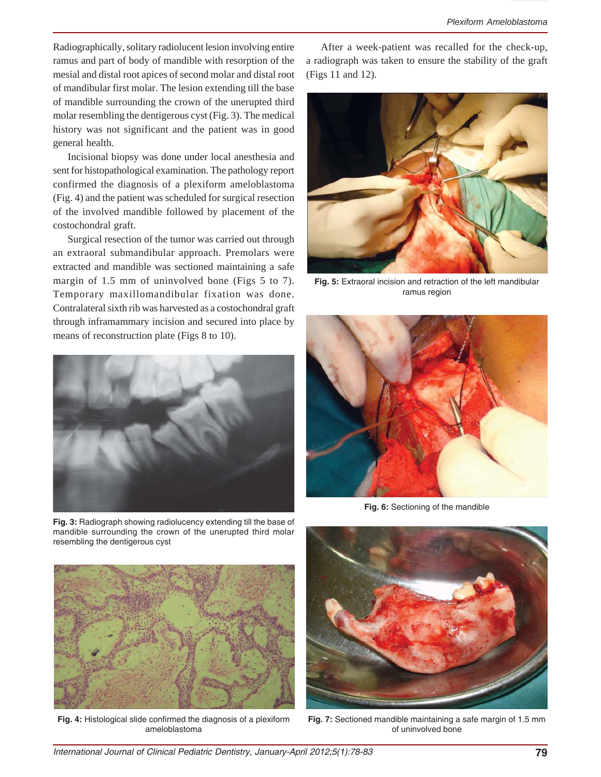Radiographically, solitary radiolucent lesion involving entire ramus and part of body of mandible with resorption of the mesial and distal root apices of second molar and distal root of mandibular first molar. The lesion extending till the base of mandible surrounding the crown of the unerupted third molar resembling the dentigerous cyst (Fig. 3). The medical history was not significant and the patient was in good general health.

Incisional biopsy was done under local anesthesia and sent for histopathological examination. The pathology report confirmed the diagnosis of a plexiform ameloblastoma (Fig. 4) and the patient was scheduled for surgical resection of the involved mandible followed by placement of the costochondral graft.

Surgical resection of the tumor was carried out through an extraoral submandibular approach. Premolars were extracted and mandible was sectioned maintaining a safe margin of 1.5 mm of uninvolved bone (Figs 5 to 7). Temporary maxillomandibular fixation was done. Contralateral sixth rib was harvested as a costochondral graft through inframammary incision and secured into place by means of reconstruction plate (Figs 8 to 10).



**Fig. 3:** Radiograph showing radiolucency extending till the base of mandible surrounding the crown of the unerupted third molar resembling the dentigerous cyst

After a week-patient was recalled for the check-up, a radiograph was taken to ensure the stability of the graft (Figs 11 and 12).



**Fig. 5:** Extraoral incision and retraction of the left mandibular ramus region



**Fig. 6:** Sectioning of the mandible



**Fig. 4:** Histological slide confirmed the diagnosis of a plexiform ameloblastoma



**Fig. 7:** Sectioned mandible maintaining a safe margin of 1.5 mm of uninvolved bone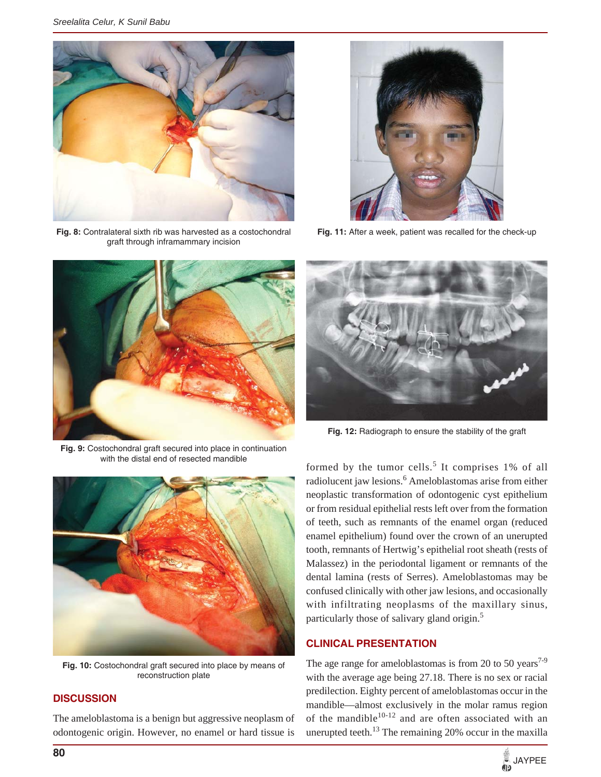

**Fig. 8:** Contralateral sixth rib was harvested as a costochondral graft through inframammary incision



**Fig. 9:** Costochondral graft secured into place in continuation with the distal end of resected mandible



**Fig. 10:** Costochondral graft secured into place by means of reconstruction plate

## **DISCUSSION**

The ameloblastoma is a benign but aggressive neoplasm of odontogenic origin. However, no enamel or hard tissue is



**Fig. 11:** After a week, patient was recalled for the check-up



**Fig. 12:** Radiograph to ensure the stability of the graft

formed by the tumor cells.<sup>5</sup> It comprises 1% of all radiolucent jaw lesions.<sup>6</sup> Ameloblastomas arise from either neoplastic transformation of odontogenic cyst epithelium or from residual epithelial rests left over from the formation of teeth, such as remnants of the enamel organ (reduced enamel epithelium) found over the crown of an unerupted tooth, remnants of Hertwig's epithelial root sheath (rests of Malassez) in the periodontal ligament or remnants of the dental lamina (rests of Serres). Ameloblastomas may be confused clinically with other jaw lesions, and occasionally with infiltrating neoplasms of the maxillary sinus, particularly those of salivary gland origin.<sup>5</sup>

## **CLINICAL PRESENTATION**

The age range for ameloblastomas is from 20 to 50 years<sup>7-9</sup> with the average age being 27.18. There is no sex or racial predilection. Eighty percent of ameloblastomas occur in the mandible—almost exclusively in the molar ramus region of the mandible $10-12$  and are often associated with an unerupted teeth. $^{13}$  The remaining 20% occur in the maxilla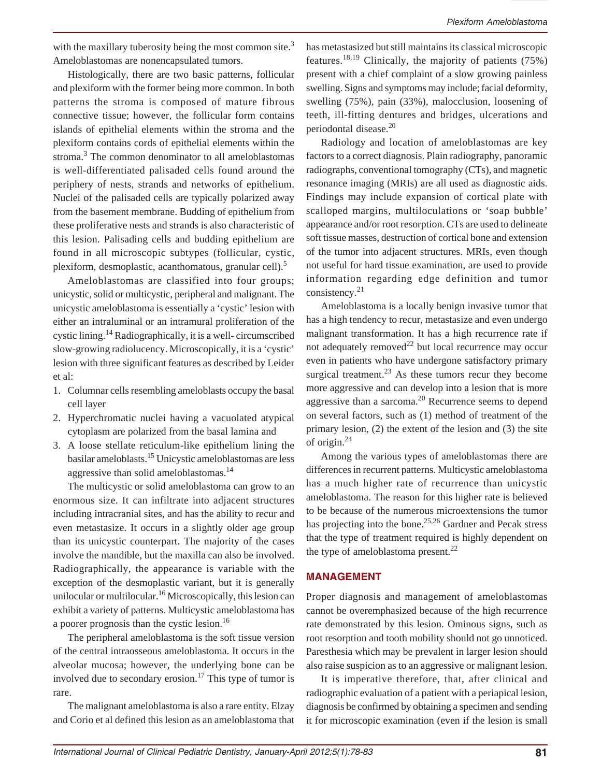with the maxillary tuberosity being the most common site.<sup>3</sup> Ameloblastomas are nonencapsulated tumors.

Histologically, there are two basic patterns, follicular and plexiform with the former being more common. In both patterns the stroma is composed of mature fibrous connective tissue; however, the follicular form contains islands of epithelial elements within the stroma and the plexiform contains cords of epithelial elements within the stroma.<sup>3</sup> The common denominator to all ameloblastomas is well-differentiated palisaded cells found around the periphery of nests, strands and networks of epithelium. Nuclei of the palisaded cells are typically polarized away from the basement membrane. Budding of epithelium from these proliferative nests and strands is also characteristic of this lesion. Palisading cells and budding epithelium are found in all microscopic subtypes (follicular, cystic, plexiform, desmoplastic, acanthomatous, granular cell).<sup>5</sup>

Ameloblastomas are classified into four groups; unicystic, solid or multicystic, peripheral and malignant. The unicystic ameloblastoma is essentially a 'cystic' lesion with either an intraluminal or an intramural proliferation of the cystic lining.14 Radiographically, it is a well- circumscribed slow-growing radiolucency. Microscopically, it is a 'cystic' lesion with three significant features as described by Leider et al:

- 1. Columnar cells resembling ameloblasts occupy the basal cell layer
- 2. Hyperchromatic nuclei having a vacuolated atypical cytoplasm are polarized from the basal lamina and
- 3. A loose stellate reticulum-like epithelium lining the basilar ameloblasts.15 Unicystic ameloblastomas are less aggressive than solid ameloblastomas.<sup>14</sup>

The multicystic or solid ameloblastoma can grow to an enormous size. It can infiltrate into adjacent structures including intracranial sites, and has the ability to recur and even metastasize. It occurs in a slightly older age group than its unicystic counterpart. The majority of the cases involve the mandible, but the maxilla can also be involved. Radiographically, the appearance is variable with the exception of the desmoplastic variant, but it is generally unilocular or multilocular.<sup>16</sup> Microscopically, this lesion can exhibit a variety of patterns. Multicystic ameloblastoma has a poorer prognosis than the cystic lesion.16

The peripheral ameloblastoma is the soft tissue version of the central intraosseous ameloblastoma. It occurs in the alveolar mucosa; however, the underlying bone can be involved due to secondary erosion.<sup>17</sup> This type of tumor is rare.

The malignant ameloblastoma is also a rare entity. Elzay and Corio et al defined this lesion as an ameloblastoma that has metastasized but still maintains its classical microscopic features.<sup>18,19</sup> Clinically, the majority of patients  $(75%)$ present with a chief complaint of a slow growing painless swelling. Signs and symptoms may include; facial deformity, swelling (75%), pain (33%), malocclusion, loosening of teeth, ill-fitting dentures and bridges, ulcerations and periodontal disease.<sup>20</sup>

Radiology and location of ameloblastomas are key factors to a correct diagnosis. Plain radiography, panoramic radiographs, conventional tomography (CTs), and magnetic resonance imaging (MRIs) are all used as diagnostic aids. Findings may include expansion of cortical plate with scalloped margins, multiloculations or 'soap bubble' appearance and/or root resorption. CTs are used to delineate soft tissue masses, destruction of cortical bone and extension of the tumor into adjacent structures. MRIs, even though not useful for hard tissue examination, are used to provide information regarding edge definition and tumor consistency.21

Ameloblastoma is a locally benign invasive tumor that has a high tendency to recur, metastasize and even undergo malignant transformation. It has a high recurrence rate if not adequately removed<sup>22</sup> but local recurrence may occur even in patients who have undergone satisfactory primary surgical treatment.<sup>23</sup> As these tumors recur they become more aggressive and can develop into a lesion that is more aggressive than a sarcoma.<sup>20</sup> Recurrence seems to depend on several factors, such as (1) method of treatment of the primary lesion, (2) the extent of the lesion and (3) the site of origin.24

Among the various types of ameloblastomas there are differences in recurrent patterns. Multicystic ameloblastoma has a much higher rate of recurrence than unicystic ameloblastoma. The reason for this higher rate is believed to be because of the numerous microextensions the tumor has projecting into the bone.<sup>25,26</sup> Gardner and Pecak stress that the type of treatment required is highly dependent on the type of ameloblastoma present. $^{22}$ 

## **MANAGEMENT**

Proper diagnosis and management of ameloblastomas cannot be overemphasized because of the high recurrence rate demonstrated by this lesion. Ominous signs, such as root resorption and tooth mobility should not go unnoticed. Paresthesia which may be prevalent in larger lesion should also raise suspicion as to an aggressive or malignant lesion.

It is imperative therefore, that, after clinical and radiographic evaluation of a patient with a periapical lesion, diagnosis be confirmed by obtaining a specimen and sending it for microscopic examination (even if the lesion is small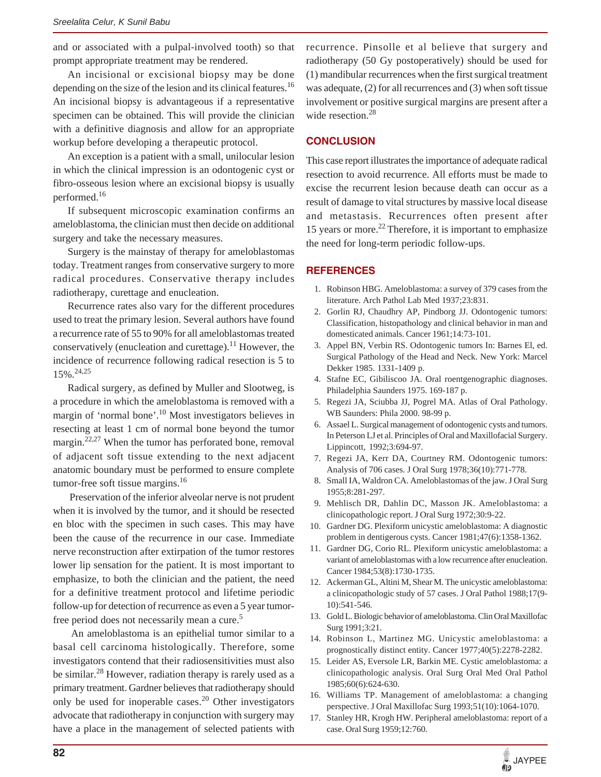and or associated with a pulpal-involved tooth) so that prompt appropriate treatment may be rendered.

An incisional or excisional biopsy may be done depending on the size of the lesion and its clinical features.<sup>16</sup> An incisional biopsy is advantageous if a representative specimen can be obtained. This will provide the clinician with a definitive diagnosis and allow for an appropriate workup before developing a therapeutic protocol.

An exception is a patient with a small, unilocular lesion in which the clinical impression is an odontogenic cyst or fibro-osseous lesion where an excisional biopsy is usually performed.16

If subsequent microscopic examination confirms an ameloblastoma, the clinician must then decide on additional surgery and take the necessary measures.

Surgery is the mainstay of therapy for ameloblastomas today. Treatment ranges from conservative surgery to more radical procedures. Conservative therapy includes radiotherapy, curettage and enucleation.

Recurrence rates also vary for the different procedures used to treat the primary lesion. Several authors have found a recurrence rate of 55 to 90% for all ameloblastomas treated conservatively (enucleation and curettage).<sup>11</sup> However, the incidence of recurrence following radical resection is 5 to 15%.24,25

Radical surgery, as defined by Muller and Slootweg, is a procedure in which the ameloblastoma is removed with a margin of 'normal bone'.<sup>10</sup> Most investigators believes in resecting at least 1 cm of normal bone beyond the tumor margin.22,27 When the tumor has perforated bone, removal of adjacent soft tissue extending to the next adjacent anatomic boundary must be performed to ensure complete tumor-free soft tissue margins.<sup>16</sup>

 Preservation of the inferior alveolar nerve is not prudent when it is involved by the tumor, and it should be resected en bloc with the specimen in such cases. This may have been the cause of the recurrence in our case. Immediate nerve reconstruction after extirpation of the tumor restores lower lip sensation for the patient. It is most important to emphasize, to both the clinician and the patient, the need for a definitive treatment protocol and lifetime periodic follow-up for detection of recurrence as even a 5 year tumorfree period does not necessarily mean a cure.<sup>5</sup>

 An ameloblastoma is an epithelial tumor similar to a basal cell carcinoma histologically. Therefore, some investigators contend that their radiosensitivities must also be similar.<sup>28</sup> However, radiation therapy is rarely used as a primary treatment. Gardner believes that radiotherapy should only be used for inoperable cases. $^{20}$  Other investigators advocate that radiotherapy in conjunction with surgery may have a place in the management of selected patients with recurrence. Pinsolle et al believe that surgery and radiotherapy (50 Gy postoperatively) should be used for (1) mandibular recurrences when the first surgical treatment was adequate, (2) for all recurrences and (3) when soft tissue involvement or positive surgical margins are present after a wide resection.<sup>28</sup>

## **CONCLUSION**

This case report illustrates the importance of adequate radical resection to avoid recurrence. All efforts must be made to excise the recurrent lesion because death can occur as a result of damage to vital structures by massive local disease and metastasis. Recurrences often present after 15 years or more.<sup>22</sup> Therefore, it is important to emphasize the need for long-term periodic follow-ups.

## **REFERENCES**

- 1. Robinson HBG. Ameloblastoma: a survey of 379 cases from the literature. Arch Pathol Lab Med 1937;23:831.
- 2. Gorlin RJ, Chaudhry AP, Pindborg JJ. Odontogenic tumors: Classification, histopathology and clinical behavior in man and domesticated animals. Cancer 1961;14:73-101.
- 3. Appel BN, Verbin RS. Odontogenic tumors In: Barnes El, ed. Surgical Pathology of the Head and Neck. New York: Marcel Dekker 1985. 1331-1409 p.
- 4. Stafne EC, Gibiliscoo JA. Oral roentgenographic diagnoses. Philadelphia Saunders 1975. 169-187 p.
- 5. Regezi JA, Sciubba JJ, Pogrel MA. Atlas of Oral Pathology. WB Saunders: Phila 2000. 98-99 p.
- 6. Assael L. Surgical management of odontogenic cysts and tumors. In Peterson LJ et al. Principles of Oral and Maxillofacial Surgery. Lippincott, 1992;3:694-97.
- 7. Regezi JA, Kerr DA, Courtney RM. Odontogenic tumors: Analysis of 706 cases. J Oral Surg 1978;36(10):771-778.
- 8. Small IA, Waldron CA. Ameloblastomas of the jaw. J Oral Surg 1955;8:281-297.
- 9. Mehlisch DR, Dahlin DC, Masson JK. Ameloblastoma: a clinicopathologic report. J Oral Surg 1972;30:9-22.
- 10. Gardner DG. Plexiform unicystic ameloblastoma: A diagnostic problem in dentigerous cysts. Cancer 1981;47(6):1358-1362.
- 11. Gardner DG, Corio RL. Plexiform unicystic ameloblastoma: a variant of ameloblastomas with a low recurrence after enucleation. Cancer 1984;53(8):1730-1735.
- 12. Ackerman GL, Altini M, Shear M. The unicystic ameloblastoma: a clinicopathologic study of 57 cases. J Oral Pathol 1988;17(9- 10):541-546.
- 13. Gold L. Biologic behavior of ameloblastoma. Clin Oral Maxillofac Surg 1991;3:21.
- 14. Robinson L, Martinez MG. Unicystic ameloblastoma: a prognostically distinct entity. Cancer 1977;40(5):2278-2282.
- 15. Leider AS, Eversole LR, Barkin ME. Cystic ameloblastoma: a clinicopathologic analysis. Oral Surg Oral Med Oral Pathol 1985;60(6):624-630.
- 16. Williams TP. Management of ameloblastoma: a changing perspective. J Oral Maxillofac Surg 1993;51(10):1064-1070.
- 17. Stanley HR, Krogh HW. Peripheral ameloblastoma: report of a case. Oral Surg 1959;12:760.